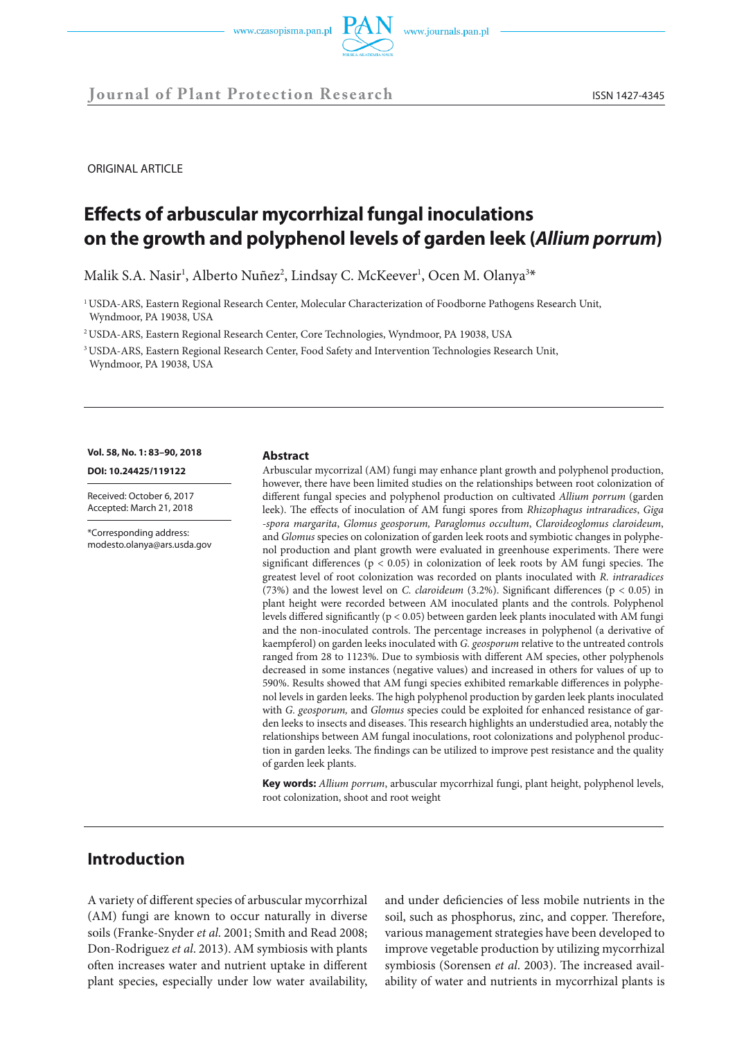

**Journal of Plant Protection Research** ISSN 1427-4345

ORIGINAL ARTICLE

# **Effects of arbuscular mycorrhizal fungal inoculations on the growth and polyphenol levels of garden leek (***Allium porrum***)**

Malik S.A. Nasir<sup>1</sup>, Alberto Nuñez<sup>2</sup>, Lindsay C. McKeever<sup>1</sup>, Ocen M. Olanya<sup>3\*</sup>

1 USDA-ARS, Eastern Regional Research Center, Molecular Characterization of Foodborne Pathogens Research Unit, Wyndmoor, PA 19038, USA

2 USDA-ARS, Eastern Regional Research Center, Core Technologies, Wyndmoor, PA 19038, USA

3 USDA-ARS, Eastern Regional Research Center, Food Safety and Intervention Technologies Research Unit, Wyndmoor, PA 19038, USA

**Vol. 58, No. 1: 83–90, 2018** 

**DOI: 10.24425/119122** 

Received: October 6, 2017 Accepted: March 21, 2018

\*Corresponding address: modesto.olanya@ars.usda.gov

#### **Abstract**

Arbuscular mycorrizal (AM) fungi may enhance plant growth and polyphenol production, however, there have been limited studies on the relationships between root colonization of different fungal species and polyphenol production on cultivated *Allium porrum* (garden leek). The effects of inoculation of AM fungi spores from *Rhizophagus intraradices*, *Giga -spora margarita*, *Glomus geosporum, Paraglomus occultum*, *Claroideoglomus claroideum*, and *Glomus* species on colonization of garden leek roots and symbiotic changes in polyphenol production and plant growth were evaluated in greenhouse experiments. There were significant differences ( $p < 0.05$ ) in colonization of leek roots by AM fungi species. The greatest level of root colonization was recorded on plants inoculated with *R. intraradices* (73%) and the lowest level on *C. claroideum* (3.2%). Significant differences (p < 0.05) in plant height were recorded between AM inoculated plants and the controls. Polyphenol levels differed significantly (p < 0.05) between garden leek plants inoculated with AM fungi and the non-inoculated controls. The percentage increases in polyphenol (a derivative of kaempferol) on garden leeks inoculated with *G. geosporum* relative to the untreated controls ranged from 28 to 1123%. Due to symbiosis with different AM species, other polyphenols decreased in some instances (negative values) and increased in others for values of up to 590%. Results showed that AM fungi species exhibited remarkable differences in polyphenol levels in garden leeks. The high polyphenol production by garden leek plants inoculated with *G. geosporum,* and *Glomus* species could be exploited for enhanced resistance of garden leeks to insects and diseases. This research highlights an understudied area, notably the relationships between AM fungal inoculations, root colonizations and polyphenol production in garden leeks. The findings can be utilized to improve pest resistance and the quality of garden leek plants.

**Key words:** *Allium porrum*, arbuscular mycorrhizal fungi, plant height, polyphenol levels, root colonization, shoot and root weight

## **Introduction**

A variety of different species of arbuscular mycorrhizal (AM) fungi are known to occur naturally in diverse soils (Franke-Snyder *et al*. 2001; Smith and Read 2008; Don-Rodriguez *et al*. 2013). AM symbiosis with plants often increases water and nutrient uptake in different plant species, especially under low water availability, and under deficiencies of less mobile nutrients in the soil, such as phosphorus, zinc, and copper. Therefore, various management strategies have been developed to improve vegetable production by utilizing mycorrhizal symbiosis (Sorensen *et al*. 2003). The increased availability of water and nutrients in mycorrhizal plants is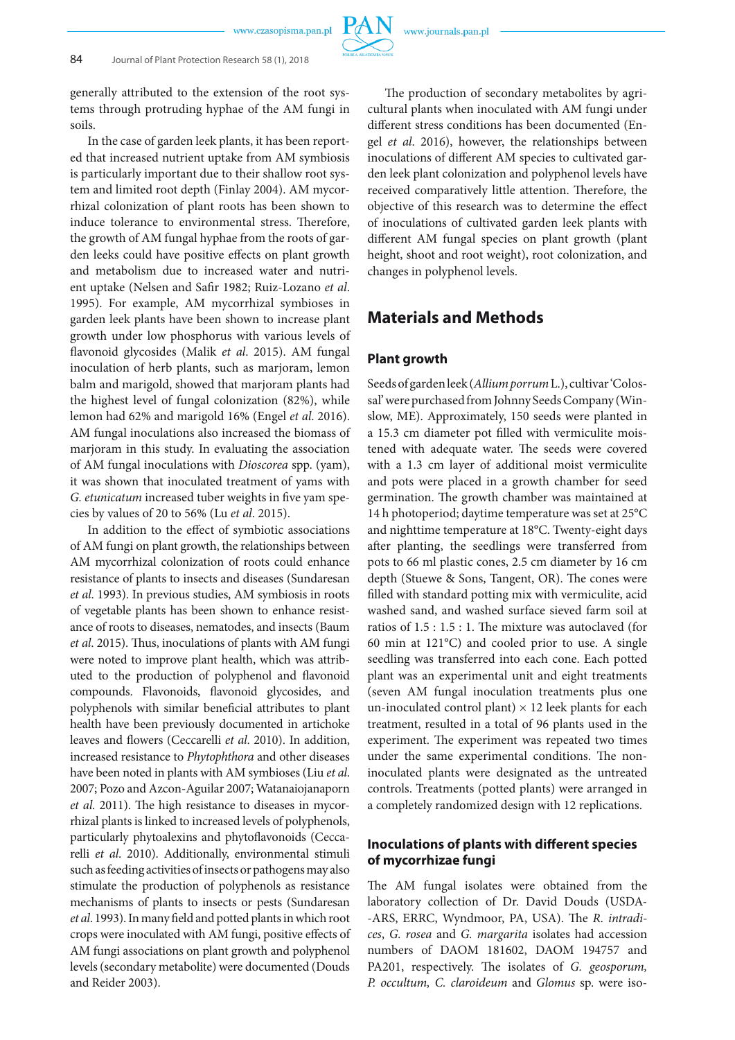generally attributed to the extension of the root systems through protruding hyphae of the AM fungi in soils.

In the case of garden leek plants, it has been reported that increased nutrient uptake from AM symbiosis is particularly important due to their shallow root system and limited root depth (Finlay 2004). AM mycorrhizal colonization of plant roots has been shown to induce tolerance to environmental stress. Therefore, the growth of AM fungal hyphae from the roots of garden leeks could have positive effects on plant growth and metabolism due to increased water and nutrient uptake (Nelsen and Safir 1982; Ruiz-Lozano *et al*. 1995). For example, AM mycorrhizal symbioses in garden leek plants have been shown to increase plant growth under low phosphorus with various levels of flavonoid glycosides (Malik *et al*. 2015). AM fungal inoculation of herb plants, such as marjoram, lemon balm and marigold, showed that marjoram plants had the highest level of fungal colonization (82%), while lemon had 62% and marigold 16% (Engel *et al*. 2016). AM fungal inoculations also increased the biomass of marjoram in this study. In evaluating the association of AM fungal inoculations with *Dioscorea* spp. (yam), it was shown that inoculated treatment of yams with *G. etunicatum* increased tuber weights in five yam species by values of 20 to 56% (Lu *et al*. 2015).

In addition to the effect of symbiotic associations of AM fungi on plant growth, the relationships between AM mycorrhizal colonization of roots could enhance resistance of plants to insects and diseases (Sundaresan *et al*. 1993). In previous studies, AM symbiosis in roots of vegetable plants has been shown to enhance resistance of roots to diseases, nematodes, and insects (Baum *et al*. 2015). Thus, inoculations of plants with AM fungi were noted to improve plant health, which was attributed to the production of polyphenol and flavonoid compounds. Flavonoids, flavonoid glycosides, and polyphenols with similar beneficial attributes to plant health have been previously documented in artichoke leaves and flowers (Ceccarelli *et al*. 2010). In addition, increased resistance to *Phytophthora* and other diseases have been noted in plants with AM symbioses (Liu *et al*. 2007; Pozo and Azcon-Aguilar 2007; Watanaiojanaporn *et al*. 2011). The high resistance to diseases in mycorrhizal plants is linked to increased levels of polyphenols, particularly phytoalexins and phytoflavonoids (Ceccarelli *et al*. 2010). Additionally, environmental stimuli such as feeding activities of insects or pathogens may also stimulate the production of polyphenols as resistance mechanisms of plants to insects or pests (Sundaresan *et al*. 1993). In many field and potted plants in which root crops were inoculated with AM fungi, positive effects of AM fungi associations on plant growth and polyphenol levels (secondary metabolite) were documented (Douds and Reider 2003).

The production of secondary metabolites by agricultural plants when inoculated with AM fungi under different stress conditions has been documented (Engel *et al*. 2016), however, the relationships between inoculations of different AM species to cultivated garden leek plant colonization and polyphenol levels have received comparatively little attention. Therefore, the objective of this research was to determine the effect of inoculations of cultivated garden leek plants with different AM fungal species on plant growth (plant height, shoot and root weight), root colonization, and changes in polyphenol levels.

## **Materials and Methods**

### **Plant growth**

Seeds of garden leek (*Allium porrum* L.), cultivar 'Colossal' were purchased from Johnny Seeds Company (Winslow, ME). Approximately, 150 seeds were planted in a 15.3 cm diameter pot filled with vermiculite moistened with adequate water. The seeds were covered with a 1.3 cm layer of additional moist vermiculite and pots were placed in a growth chamber for seed germination. The growth chamber was maintained at 14 h photoperiod; daytime temperature was set at 25°C and nighttime temperature at 18°C. Twenty-eight days after planting, the seedlings were transferred from pots to 66 ml plastic cones, 2.5 cm diameter by 16 cm depth (Stuewe & Sons, Tangent, OR). The cones were filled with standard potting mix with vermiculite, acid washed sand, and washed surface sieved farm soil at ratios of 1.5 : 1.5 : 1. The mixture was autoclaved (for 60 min at 121°C) and cooled prior to use. A single seedling was transferred into each cone. Each potted plant was an experimental unit and eight treatments (seven AM fungal inoculation treatments plus one un-inoculated control plant)  $\times$  12 leek plants for each treatment, resulted in a total of 96 plants used in the experiment. The experiment was repeated two times under the same experimental conditions. The noninoculated plants were designated as the untreated controls. Treatments (potted plants) were arranged in a completely randomized design with 12 replications.

### **Inoculations of plants with different species of mycorrhizae fungi**

The AM fungal isolates were obtained from the laboratory collection of Dr. David Douds (USDA- -ARS, ERRC, Wyndmoor, PA, USA). The *R. intradices*, *G. rosea* and *G. margarita* isolates had accession numbers of DAOM 181602, DAOM 194757 and PA201, respectively. The isolates of *G. geosporum, P. occultum, C. claroideum* and *Glomus* sp. were iso-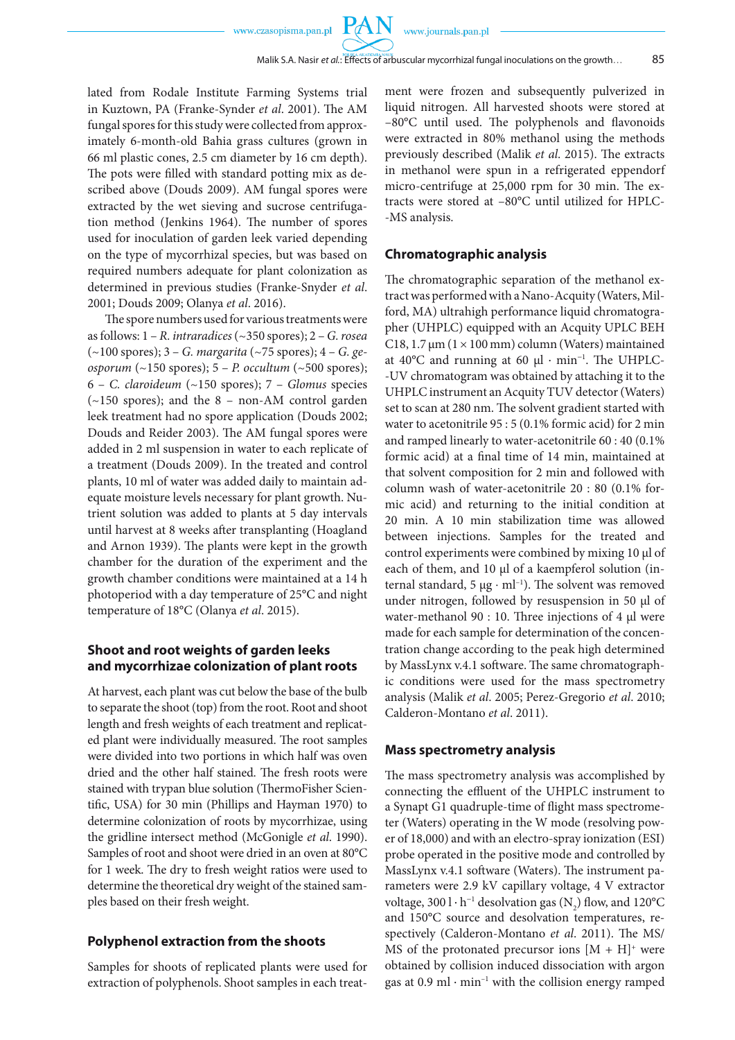**PAN** 

lated from Rodale Institute Farming Systems trial in Kuztown, PA (Franke-Synder *et al*. 2001). The AM fungal spores for this study were collected from approximately 6-month-old Bahia grass cultures (grown in 66 ml plastic cones, 2.5 cm diameter by 16 cm depth). The pots were filled with standard potting mix as described above (Douds 2009). AM fungal spores were extracted by the wet sieving and sucrose centrifugation method (Jenkins 1964). The number of spores used for inoculation of garden leek varied depending on the type of mycorrhizal species, but was based on required numbers adequate for plant colonization as determined in previous studies (Franke-Snyder *et al*. 2001; Douds 2009; Olanya *et al*. 2016).

The spore numbers used for various treatments were as follows: 1 – *R. intraradices* (~350 spores); 2 – *G. rosea* (~100 spores); 3 – *G. margarita* (~75 spores); 4 – *G. geosporum* (~150 spores); 5 – *P. occultum* (~500 spores); 6 – *C. claroideum* (~150 spores); 7 – *Glomus* species (~150 spores); and the 8 – non-AM control garden leek treatment had no spore application (Douds 2002; Douds and Reider 2003). The AM fungal spores were added in 2 ml suspension in water to each replicate of a treatment (Douds 2009). In the treated and control plants, 10 ml of water was added daily to maintain adequate moisture levels necessary for plant growth. Nutrient solution was added to plants at 5 day intervals until harvest at 8 weeks after transplanting (Hoagland and Arnon 1939). The plants were kept in the growth chamber for the duration of the experiment and the growth chamber conditions were maintained at a 14 h photoperiod with a day temperature of 25°C and night temperature of 18°C (Olanya *et al*. 2015).

### **Shoot and root weights of garden leeks and mycorrhizae colonization of plant roots**

At harvest, each plant was cut below the base of the bulb to separate the shoot (top) from the root. Root and shoot length and fresh weights of each treatment and replicated plant were individually measured. The root samples were divided into two portions in which half was oven dried and the other half stained. The fresh roots were stained with trypan blue solution (ThermoFisher Scientific, USA) for 30 min (Phillips and Hayman 1970) to determine colonization of roots by mycorrhizae, using the gridline intersect method (McGonigle *et al*. 1990). Samples of root and shoot were dried in an oven at 80°C for 1 week. The dry to fresh weight ratios were used to determine the theoretical dry weight of the stained samples based on their fresh weight.

#### **Polyphenol extraction from the shoots**

Samples for shoots of replicated plants were used for extraction of polyphenols. Shoot samples in each treatment were frozen and subsequently pulverized in liquid nitrogen. All harvested shoots were stored at –80°C until used. The polyphenols and flavonoids were extracted in 80% methanol using the methods previously described (Malik *et al*. 2015). The extracts in methanol were spun in a refrigerated eppendorf micro-centrifuge at 25,000 rpm for 30 min. The extracts were stored at –80°C until utilized for HPLC- -MS analysis.

#### **Chromatographic analysis**

The chromatographic separation of the methanol extract was performed with a Nano-Acquity (Waters, Milford, MA) ultrahigh performance liquid chromatographer (UHPLC) equipped with an Acquity UPLC BEH C18, 1.7  $\mu$ m (1 × 100 mm) column (Waters) maintained at 40°C and running at 60 µl ∙ min<sup>−</sup><sup>1</sup> . The UHPLC- -UV chromatogram was obtained by attaching it to the UHPLC instrument an Acquity TUV detector (Waters) set to scan at 280 nm. The solvent gradient started with water to acetonitrile 95 : 5 (0.1% formic acid) for 2 min and ramped linearly to water-acetonitrile 60 : 40 (0.1% formic acid) at a final time of 14 min, maintained at that solvent composition for 2 min and followed with column wash of water-acetonitrile 20 : 80 (0.1% formic acid) and returning to the initial condition at 20 min. A 10 min stabilization time was allowed between injections. Samples for the treated and control experiments were combined by mixing 10 µl of each of them, and 10 µl of a kaempferol solution (internal standard, 5 μg ⋅ ml<sup>-1</sup>). The solvent was removed under nitrogen, followed by resuspension in 50 µl of water-methanol 90 : 10. Three injections of 4 µl were made for each sample for determination of the concentration change according to the peak high determined by MassLynx v.4.1 software. The same chromatographic conditions were used for the mass spectrometry analysis (Malik *et al*. 2005; Perez-Gregorio *et al*. 2010; Calderon-Montano *et al*. 2011).

#### **Mass spectrometry analysis**

The mass spectrometry analysis was accomplished by connecting the effluent of the UHPLC instrument to a Synapt G1 quadruple-time of flight mass spectrometer (Waters) operating in the W mode (resolving power of 18,000) and with an electro-spray ionization (ESI) probe operated in the positive mode and controlled by MassLynx v.4.1 software (Waters). The instrument parameters were 2.9 kV capillary voltage, 4 V extractor voltage, 300 l $\cdot$  h $\hbox{--}^1$  desolvation gas (N $_2)$  flow, and 120°C and 150°C source and desolvation temperatures, respectively (Calderon-Montano *et al*. 2011). The MS/ MS of the protonated precursor ions  $[M + H]^+$  were obtained by collision induced dissociation with argon gas at 0.9 ml ⋅ min<sup>-1</sup> with the collision energy ramped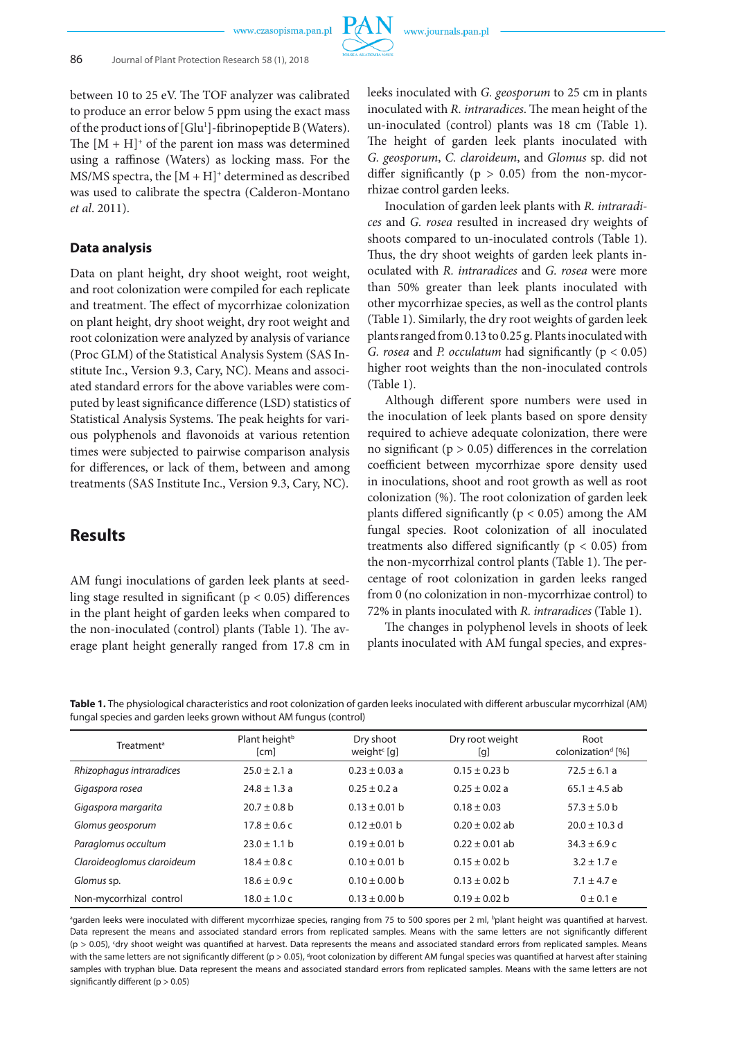

between 10 to 25 eV. The TOF analyzer was calibrated to produce an error below 5 ppm using the exact mass of the product ions of [Glu<sup>1</sup>]-fibrinopeptide B (Waters). The  $[M + H]^+$  of the parent ion mass was determined using a raffinose (Waters) as locking mass. For the MS/MS spectra, the  $[M + H]$ <sup>+</sup> determined as described was used to calibrate the spectra (Calderon-Montano *et al*. 2011).

### **Data analysis**

Data on plant height, dry shoot weight, root weight, and root colonization were compiled for each replicate and treatment. The effect of mycorrhizae colonization on plant height, dry shoot weight, dry root weight and root colonization were analyzed by analysis of variance (Proc GLM) of the Statistical Analysis System (SAS Institute Inc., Version 9.3, Cary, NC). Means and associated standard errors for the above variables were computed by least significance difference (LSD) statistics of Statistical Analysis Systems. The peak heights for various polyphenols and flavonoids at various retention times were subjected to pairwise comparison analysis for differences, or lack of them, between and among treatments (SAS Institute Inc., Version 9.3, Cary, NC).

## **Results**

AM fungi inoculations of garden leek plants at seedling stage resulted in significant ( $p < 0.05$ ) differences in the plant height of garden leeks when compared to the non-inoculated (control) plants (Table 1). The average plant height generally ranged from 17.8 cm in leeks inoculated with *G. geosporum* to 25 cm in plants inoculated with *R. intraradices*. The mean height of the un-inoculated (control) plants was 18 cm (Table 1). The height of garden leek plants inoculated with *G. geosporum*, *C. claroideum*, and *Glomus* sp. did not differ significantly ( $p > 0.05$ ) from the non-mycorrhizae control garden leeks.

Inoculation of garden leek plants with *R. intraradices* and *G. rosea* resulted in increased dry weights of shoots compared to un-inoculated controls (Table 1). Thus, the dry shoot weights of garden leek plants inoculated with *R. intraradices* and *G. rosea* were more than 50% greater than leek plants inoculated with other mycorrhizae species, as well as the control plants (Table 1). Similarly, the dry root weights of garden leek plants ranged from 0.13 to 0.25 g. Plants inoculated with *G. rosea* and *P. occulatum* had significantly (p < 0.05) higher root weights than the non-inoculated controls (Table 1).

Although different spore numbers were used in the inoculation of leek plants based on spore density required to achieve adequate colonization, there were no significant ( $p > 0.05$ ) differences in the correlation coefficient between mycorrhizae spore density used in inoculations, shoot and root growth as well as root colonization (%). The root colonization of garden leek plants differed significantly ( $p < 0.05$ ) among the AM fungal species. Root colonization of all inoculated treatments also differed significantly ( $p < 0.05$ ) from the non-mycorrhizal control plants (Table 1). The percentage of root colonization in garden leeks ranged from 0 (no colonization in non-mycorrhizae control) to 72% in plants inoculated with *R. intraradices* (Table 1).

The changes in polyphenol levels in shoots of leek plants inoculated with AM fungal species, and expres-

|                                                                   |  | Table 1. The physiological characteristics and root colonization of garden leeks inoculated with different arbuscular mycorrhizal (AM) |  |
|-------------------------------------------------------------------|--|----------------------------------------------------------------------------------------------------------------------------------------|--|
| fungal species and garden leeks grown without AM fungus (control) |  |                                                                                                                                        |  |

| <b>Treatment<sup>a</sup></b> | Plant height <sup>b</sup><br>[cm] | Dry shoot<br>weight $^{c}$ [g] |                   | Root<br>colonization <sup>d</sup> [%] |  |
|------------------------------|-----------------------------------|--------------------------------|-------------------|---------------------------------------|--|
| Rhizophagus intraradices     | $25.0 + 2.1 a$                    | $0.23 + 0.03$ a                | $0.15 + 0.23$ h   | $72.5 + 6.1a$                         |  |
| Gigaspora rosea              | $74.8 + 1.3a$                     | $0.25 + 0.2a$                  | $0.25 + 0.02$ a   | $65.1 + 4.5$ ab                       |  |
| Gigaspora margarita          | $20.7 \pm 0.8$ b                  | $0.13 \pm 0.01$ b              | $0.18 \pm 0.03$   | $57.3 \pm 5.0$ b                      |  |
| Glomus geosporum             | $17.8 \pm 0.6$ c                  | $0.12 \pm 0.01$ b              | $0.20 + 0.02$ ab  | $20.0 \pm 10.3$ d                     |  |
| Paraglomus occultum          | $23.0 \pm 1.1$ b                  | $0.19 + 0.01$ b                | $0.22 + 0.01$ ab  | $34.3 \pm 6.9$ c                      |  |
| Claroideoglomus claroideum   | $18.4 + 0.8c$                     | $0.10 + 0.01$ b                | $0.15 + 0.02$ h   | $3.2 + 1.7e$                          |  |
| Glomus sp.                   | $18.6 \pm 0.9$ c                  | $0.10 \pm 0.00$ b              | $0.13 + 0.02$ h   | $7.1 \pm 4.7$ e                       |  |
| Non-mycorrhizal control      | $18.0 \pm 1.0 c$                  | $0.13 \pm 0.00$ b              | $0.19 \pm 0.02$ b | $0 \pm 0.1 e$                         |  |

<sup>a</sup>garden leeks were inoculated with different mycorrhizae species, ranging from 75 to 500 spores per 2 ml, <sup>b</sup>plant height was quantified at harvest. Data represent the means and associated standard errors from replicated samples. Means with the same letters are not significantly different (p > 0.05), c dry shoot weight was quantified at harvest. Data represents the means and associated standard errors from replicated samples. Means with the same letters are not significantly different (p > 0.05), <sup>d</sup>root colonization by different AM fungal species was quantified at harvest after staining samples with tryphan blue. Data represent the means and associated standard errors from replicated samples. Means with the same letters are not significantly different ( $p > 0.05$ )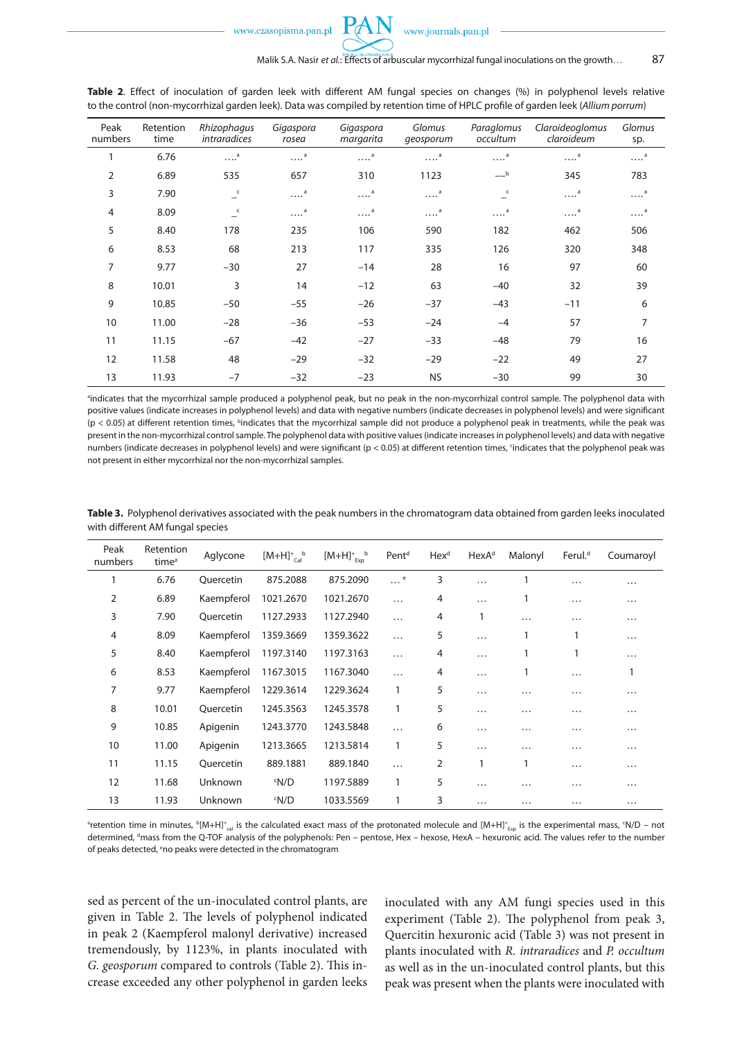**Table 2**. Effect of inoculation of garden leek with different AM fungal species on changes (%) in polyphenol levels relative to the control (non-mycorrhizal garden leek). Data was compiled by retention time of HPLC profile of garden leek (*Allium porrum*)

| Peak<br>numbers | Retention<br>time | Rhizophagus<br>intraradices | Gigaspora<br>rosea    | Gigaspora<br>margarita | Glomus<br>qeosporum   | Paraglomus<br>occultum | Claroideoglomus<br>claroideum | Glomus<br>sp.         |
|-----------------|-------------------|-----------------------------|-----------------------|------------------------|-----------------------|------------------------|-------------------------------|-----------------------|
|                 | 6.76              | $\ldots$ <sup>a</sup>       | $\ldots$ <sup>a</sup> | $\ldots$ <sup>a</sup>  | <sup>a</sup>          | $\ldots$ <sup>a</sup>  | $\ldots$ <sup>a</sup>         | $\cdots$ <sup>a</sup> |
| $\overline{2}$  | 6.89              | 535                         | 657                   | 310                    | 1123                  | $-$ b                  | 345                           | 783                   |
| 3               | 7.90              | $\overline{a}$              | $\ldots$ <sup>a</sup> | $\ldots$ <sup>a</sup>  | <sup>a</sup>          | $\overline{c}$         | <sup>a</sup>                  | $\ldots$ <sup>a</sup> |
| 4               | 8.09              | $\overline{c}$              | $\ldots$ <sup>a</sup> | $\cdots$ <sup>a</sup>  | $\ldots$ <sup>a</sup> | $\ldots$ <sup>a</sup>  | $\ldots$ <sup>a</sup>         | $\cdots$ <sup>a</sup> |
| 5               | 8.40              | 178                         | 235                   | 106                    | 590                   | 182                    | 462                           | 506                   |
| 6               | 8.53              | 68                          | 213                   | 117                    | 335                   | 126                    | 320                           | 348                   |
| 7               | 9.77              | $-30$                       | 27                    | $-14$                  | 28                    | 16                     | 97                            | 60                    |
| 8               | 10.01             | 3                           | 14                    | $-12$                  | 63                    | $-40$                  | 32                            | 39                    |
| 9               | 10.85             | $-50$                       | $-55$                 | $-26$                  | $-37$                 | $-43$                  | $-11$                         | 6                     |
| 10              | 11.00             | $-28$                       | $-36$                 | $-53$                  | $-24$                 | $-4$                   | 57                            | 7                     |
| 11              | 11.15             | $-67$                       | $-42$                 | $-27$                  | $-33$                 | $-48$                  | 79                            | 16                    |
| 12              | 11.58             | 48                          | $-29$                 | $-32$                  | $-29$                 | $-22$                  | 49                            | 27                    |
| 13              | 11.93             | $-7$                        | $-32$                 | $-23$                  | <b>NS</b>             | $-30$                  | 99                            | 30                    |

a indicates that the mycorrhizal sample produced a polyphenol peak, but no peak in the non-mycorrhizal control sample. The polyphenol data with positive values (indicate increases in polyphenol levels) and data with negative numbers (indicate decreases in polyphenol levels) and were significant  $(p < 0.05)$  at different retention times, <sup>b</sup>indicates that the mycorrhizal sample did not produce a polyphenol peak in treatments, while the peak was present in the non-mycorrhizal control sample. The polyphenol data with positive values (indicate increases in polyphenol levels) and data with negative numbers (indicate decreases in polyphenol levels) and were significant (p < 0.05) at different retention times, 'indicates that the polyphenol peak was not present in either mycorrhizal nor the non-mycorrhizal samples.

| Peak<br>numbers | Retention<br>time <sup>a</sup> | Aglycone   | $[M+H]_{\text{Cal}}^+$ | $[M+H]_{\text{Exp}}^+$ | Pent <sup>d</sup> | Hex <sup>d</sup> | HexA <sup>d</sup> | Malonyl  | Ferul. <sup>d</sup> | Coumaroyl |
|-----------------|--------------------------------|------------|------------------------|------------------------|-------------------|------------------|-------------------|----------|---------------------|-----------|
|                 | 6.76                           | Quercetin  | 875.2088               | 875.2090               | <sup>e</sup>      | 3                | .                 | 1        | $\cdots$            | .         |
| 2               | 6.89                           | Kaempferol | 1021.2670              | 1021.2670              | $\cdots$          | 4                | .                 |          | $\cdots$            | .         |
| 3               | 7.90                           | Quercetin  | 1127.2933              | 1127.2940              | $\cdots$          | 4                | 1                 | .        | $\cdots$            | $\cdots$  |
| $\overline{4}$  | 8.09                           | Kaempferol | 1359.3669              | 1359.3622              | $\cdots$          | 5                | $\cdots$          |          | 1                   | .         |
| 5               | 8.40                           | Kaempferol | 1197.3140              | 1197.3163              | $\cdots$          | 4                | .                 |          | 1                   | .         |
| 6               | 8.53                           | Kaempferol | 1167.3015              | 1167.3040              | $\cdots$          | 4                | $\cdots$          |          | $\cdots$            |           |
| 7               | 9.77                           | Kaempferol | 1229.3614              | 1229.3624              | 1                 | 5                | $\cdots$          | $\cdots$ | $\cdots$            | .         |
| 8               | 10.01                          | Quercetin  | 1245.3563              | 1245.3578              | 1                 | 5                | .                 | $\cdots$ | $\cdots$            | $\cdots$  |
| 9               | 10.85                          | Apigenin   | 1243.3770              | 1243.5848              | $\cdots$          | 6                | .                 | $\cdots$ | $\cdots$            | .         |
| 10              | 11.00                          | Apigenin   | 1213.3665              | 1213.5814              | 1                 | 5                | .                 | $\cdots$ | $\cdots$            | .         |
| 11              | 11.15                          | Quercetin  | 889.1881               | 889.1840               | $\cdots$          | 2                | 1                 | 1        | $\cdots$            | .         |
| 12              | 11.68                          | Unknown    | <sup>c</sup> N/D       | 1197.5889              | $\mathbf{1}$      | 5                | .                 | .        | $\cdots$            | .         |
| 13              | 11.93                          | Unknown    | $~^{\circ}$ N/D        | 1033.5569              | 1                 | 3                | .                 | $\cdots$ | $\cdots$            | .         |

**Table 3.** Polyphenol derivatives associated with the peak numbers in the chromatogram data obtained from garden leeks inoculated with different AM fungal species

<sup>a</sup>retention time in minutes,  $^{\rm b}$ [M+H]+<sub>cal</sub> is the calculated exact mass of the protonated molecule and [M+H]+<sub>Exp</sub> is the experimental mass, <sup>c</sup>N/D – not determined, <sup>a</sup>mass from the Q-TOF analysis of the polyphenols: Pen – pentose, Hex – hexose, HexA – hexuronic acid. The values refer to the number of peaks detected, eno peaks were detected in the chromatogram

sed as percent of the un-inoculated control plants, are given in Table 2. The levels of polyphenol indicated in peak 2 (Kaempferol malonyl derivative) increased tremendously, by 1123%, in plants inoculated with *G. geosporum* compared to controls (Table 2). This increase exceeded any other polyphenol in garden leeks

inoculated with any AM fungi species used in this experiment (Table 2). The polyphenol from peak 3, Quercitin hexuronic acid (Table 3) was not present in plants inoculated with *R. intraradices* and *P. occultum* as well as in the un-inoculated control plants, but this peak was present when the plants were inoculated with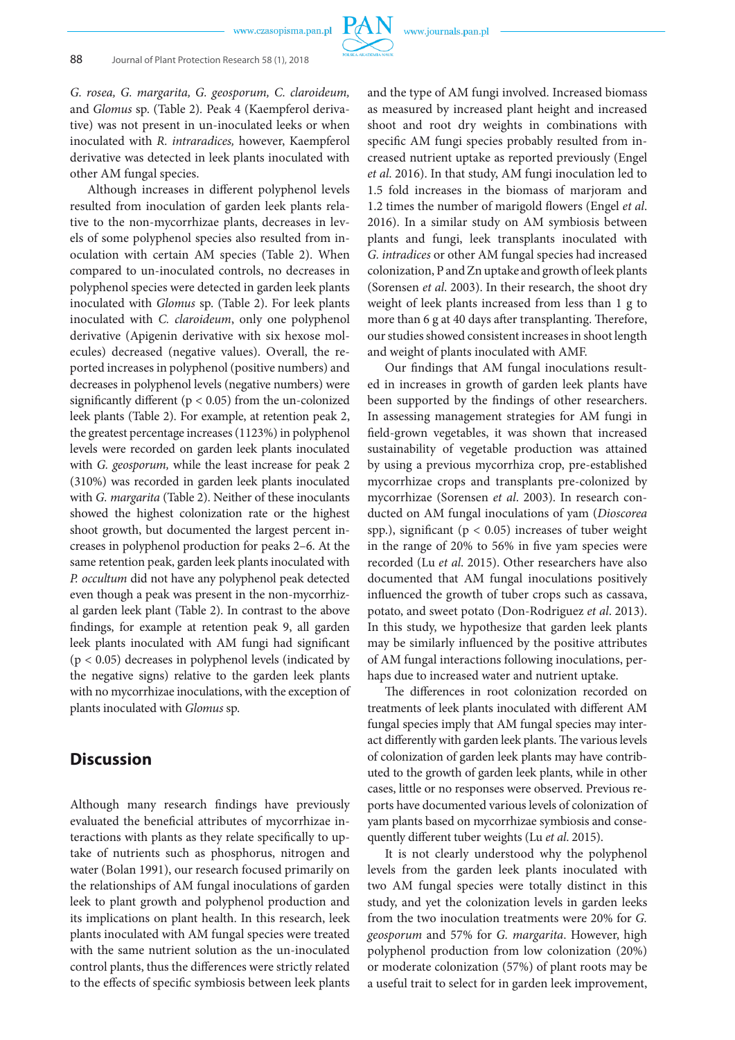*G. rosea, G. margarita, G. geosporum, C. claroideum,*  and *Glomus* sp. (Table 2)*.* Peak 4 (Kaempferol derivative) was not present in un-inoculated leeks or when inoculated with *R. intraradices,* however, Kaempferol derivative was detected in leek plants inoculated with other AM fungal species.

Although increases in different polyphenol levels resulted from inoculation of garden leek plants relative to the non-mycorrhizae plants, decreases in levels of some polyphenol species also resulted from inoculation with certain AM species (Table 2). When compared to un-inoculated controls, no decreases in polyphenol species were detected in garden leek plants inoculated with *Glomus* sp. (Table 2). For leek plants inoculated with *C. claroideum*, only one polyphenol derivative (Apigenin derivative with six hexose molecules) decreased (negative values). Overall, the reported increases in polyphenol (positive numbers) and decreases in polyphenol levels (negative numbers) were significantly different ( $p < 0.05$ ) from the un-colonized leek plants (Table 2). For example, at retention peak 2, the greatest percentage increases (1123%) in polyphenol levels were recorded on garden leek plants inoculated with *G. geosporum,* while the least increase for peak 2 (310%) was recorded in garden leek plants inoculated with *G. margarita* (Table 2). Neither of these inoculants showed the highest colonization rate or the highest shoot growth, but documented the largest percent increases in polyphenol production for peaks 2–6. At the same retention peak, garden leek plants inoculated with *P. occultum* did not have any polyphenol peak detected even though a peak was present in the non-mycorrhizal garden leek plant (Table 2). In contrast to the above findings, for example at retention peak 9, all garden leek plants inoculated with AM fungi had significant (p < 0.05) decreases in polyphenol levels (indicated by the negative signs) relative to the garden leek plants with no mycorrhizae inoculations, with the exception of plants inoculated with *Glomus* sp.

## **Discussion**

Although many research findings have previously evaluated the beneficial attributes of mycorrhizae interactions with plants as they relate specifically to uptake of nutrients such as phosphorus, nitrogen and water (Bolan 1991), our research focused primarily on the relationships of AM fungal inoculations of garden leek to plant growth and polyphenol production and its implications on plant health. In this research, leek plants inoculated with AM fungal species were treated with the same nutrient solution as the un-inoculated control plants, thus the differences were strictly related to the effects of specific symbiosis between leek plants

and the type of AM fungi involved. Increased biomass as measured by increased plant height and increased shoot and root dry weights in combinations with specific AM fungi species probably resulted from increased nutrient uptake as reported previously (Engel *et al*. 2016). In that study, AM fungi inoculation led to 1.5 fold increases in the biomass of marjoram and 1.2 times the number of marigold flowers (Engel *et al*. 2016). In a similar study on AM symbiosis between plants and fungi, leek transplants inoculated with *G. intradices* or other AM fungal species had increased colonization, P and Zn uptake and growth of leek plants (Sorensen *et al*. 2003). In their research, the shoot dry weight of leek plants increased from less than 1 g to more than 6 g at 40 days after transplanting. Therefore, our studies showed consistent increases in shoot length and weight of plants inoculated with AMF.

Our findings that AM fungal inoculations resulted in increases in growth of garden leek plants have been supported by the findings of other researchers. In assessing management strategies for AM fungi in field-grown vegetables, it was shown that increased sustainability of vegetable production was attained by using a previous mycorrhiza crop, pre-established mycorrhizae crops and transplants pre-colonized by mycorrhizae (Sorensen *et al*. 2003). In research conducted on AM fungal inoculations of yam (*Dioscorea* spp.), significant ( $p < 0.05$ ) increases of tuber weight in the range of 20% to 56% in five yam species were recorded (Lu *et al*. 2015). Other researchers have also documented that AM fungal inoculations positively influenced the growth of tuber crops such as cassava, potato, and sweet potato (Don-Rodriguez *et al*. 2013). In this study, we hypothesize that garden leek plants may be similarly influenced by the positive attributes of AM fungal interactions following inoculations, perhaps due to increased water and nutrient uptake.

The differences in root colonization recorded on treatments of leek plants inoculated with different AM fungal species imply that AM fungal species may interact differently with garden leek plants. The various levels of colonization of garden leek plants may have contributed to the growth of garden leek plants, while in other cases, little or no responses were observed. Previous reports have documented various levels of colonization of yam plants based on mycorrhizae symbiosis and consequently different tuber weights (Lu *et al*. 2015).

It is not clearly understood why the polyphenol levels from the garden leek plants inoculated with two AM fungal species were totally distinct in this study, and yet the colonization levels in garden leeks from the two inoculation treatments were 20% for *G. geosporum* and 57% for *G. margarita*. However, high polyphenol production from low colonization (20%) or moderate colonization (57%) of plant roots may be a useful trait to select for in garden leek improvement,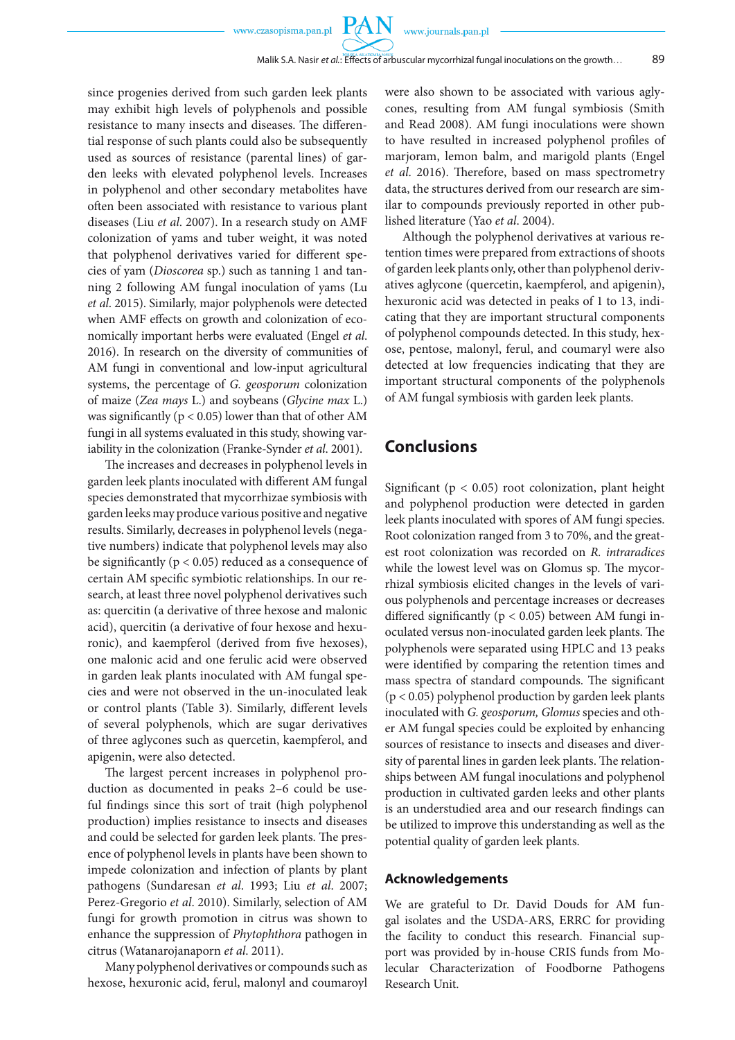PA

since progenies derived from such garden leek plants may exhibit high levels of polyphenols and possible resistance to many insects and diseases. The differential response of such plants could also be subsequently used as sources of resistance (parental lines) of garden leeks with elevated polyphenol levels. Increases in polyphenol and other secondary metabolites have often been associated with resistance to various plant diseases (Liu *et al*. 2007). In a research study on AMF colonization of yams and tuber weight, it was noted that polyphenol derivatives varied for different species of yam (*Dioscorea* sp.) such as tanning 1 and tanning 2 following AM fungal inoculation of yams (Lu *et al*. 2015). Similarly, major polyphenols were detected when AMF effects on growth and colonization of economically important herbs were evaluated (Engel *et al*. 2016). In research on the diversity of communities of AM fungi in conventional and low-input agricultural systems, the percentage of *G. geosporum* colonization of maize (*Zea mays* L.) and soybeans (*Glycine max* L.) was significantly ( $p < 0.05$ ) lower than that of other AM fungi in all systems evaluated in this study, showing variability in the colonization (Franke-Synder *et al*. 2001).

The increases and decreases in polyphenol levels in garden leek plants inoculated with different AM fungal species demonstrated that mycorrhizae symbiosis with garden leeks may produce various positive and negative results. Similarly, decreases in polyphenol levels (negative numbers) indicate that polyphenol levels may also be significantly ( $p < 0.05$ ) reduced as a consequence of certain AM specific symbiotic relationships. In our research, at least three novel polyphenol derivatives such as: quercitin (a derivative of three hexose and malonic acid), quercitin (a derivative of four hexose and hexuronic), and kaempferol (derived from five hexoses), one malonic acid and one ferulic acid were observed in garden leak plants inoculated with AM fungal species and were not observed in the un-inoculated leak or control plants (Table 3). Similarly, different levels of several polyphenols, which are sugar derivatives of three aglycones such as quercetin, kaempferol, and apigenin, were also detected.

The largest percent increases in polyphenol production as documented in peaks 2–6 could be useful findings since this sort of trait (high polyphenol production) implies resistance to insects and diseases and could be selected for garden leek plants. The presence of polyphenol levels in plants have been shown to impede colonization and infection of plants by plant pathogens (Sundaresan *et al*. 1993; Liu *et al*. 2007; Perez-Gregorio *et al*. 2010). Similarly, selection of AM fungi for growth promotion in citrus was shown to enhance the suppression of *Phytophthora* pathogen in citrus (Watanarojanaporn *et al*. 2011).

Many polyphenol derivatives or compounds such as hexose, hexuronic acid, ferul, malonyl and coumaroyl were also shown to be associated with various aglycones, resulting from AM fungal symbiosis (Smith and Read 2008). AM fungi inoculations were shown to have resulted in increased polyphenol profiles of marjoram, lemon balm, and marigold plants (Engel *et al*. 2016). Therefore, based on mass spectrometry data, the structures derived from our research are similar to compounds previously reported in other published literature (Yao *et al*. 2004).

Although the polyphenol derivatives at various retention times were prepared from extractions of shoots of garden leek plants only, other than polyphenol derivatives aglycone (quercetin, kaempferol, and apigenin), hexuronic acid was detected in peaks of 1 to 13, indicating that they are important structural components of polyphenol compounds detected. In this study, hexose, pentose, malonyl, ferul, and coumaryl were also detected at low frequencies indicating that they are important structural components of the polyphenols of AM fungal symbiosis with garden leek plants.

### **Conclusions**

Significant ( $p < 0.05$ ) root colonization, plant height and polyphenol production were detected in garden leek plants inoculated with spores of AM fungi species. Root colonization ranged from 3 to 70%, and the greatest root colonization was recorded on *R. intraradices*  while the lowest level was on Glomus sp. The mycorrhizal symbiosis elicited changes in the levels of various polyphenols and percentage increases or decreases differed significantly ( $p < 0.05$ ) between AM fungi inoculated versus non-inoculated garden leek plants. The polyphenols were separated using HPLC and 13 peaks were identified by comparing the retention times and mass spectra of standard compounds. The significant (p < 0.05) polyphenol production by garden leek plants inoculated with *G. geosporum, Glomus* species and other AM fungal species could be exploited by enhancing sources of resistance to insects and diseases and diversity of parental lines in garden leek plants. The relationships between AM fungal inoculations and polyphenol production in cultivated garden leeks and other plants is an understudied area and our research findings can be utilized to improve this understanding as well as the potential quality of garden leek plants.

#### **Acknowledgements**

We are grateful to Dr. David Douds for AM fungal isolates and the USDA-ARS, ERRC for providing the facility to conduct this research. Financial support was provided by in-house CRIS funds from Molecular Characterization of Foodborne Pathogens Research Unit.